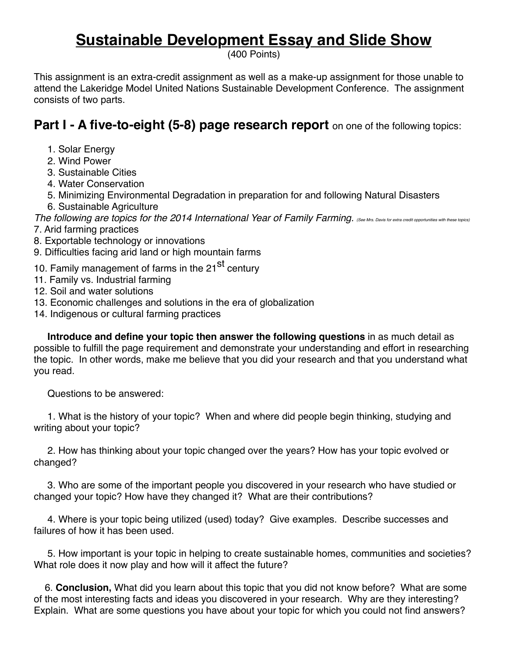## **Sustainable Development Essay and Slide Show**

(400 Points)

This assignment is an extra-credit assignment as well as a make-up assignment for those unable to attend the Lakeridge Model United Nations Sustainable Development Conference. The assignment consists of two parts.

**Part I - A five-to-eight (5-8) page research report** on one of the following topics:

- 1. Solar Energy
- 2. Wind Power
- 3. Sustainable Cities
- 4. Water Conservation
- 5. Minimizing Environmental Degradation in preparation for and following Natural Disasters
- 6. Sustainable Agriculture

*The following are topics for the 2014 International Year of Family Farming. (See Mrs. Davis for extra credit opportunities with these topics)* 7. Arid farming practices

- 8. Exportable technology or innovations
- 9. Difficulties facing arid land or high mountain farms
- 10. Family management of farms in the 21<sup>st</sup> century
- 11. Family vs. Industrial farming
- 12. Soil and water solutions
- 13. Economic challenges and solutions in the era of globalization
- 14. Indigenous or cultural farming practices

 **Introduce and define your topic then answer the following questions** in as much detail as possible to fulfill the page requirement and demonstrate your understanding and effort in researching the topic. In other words, make me believe that you did your research and that you understand what you read.

Questions to be answered:

 1. What is the history of your topic? When and where did people begin thinking, studying and writing about your topic?

 2. How has thinking about your topic changed over the years? How has your topic evolved or changed?

 3. Who are some of the important people you discovered in your research who have studied or changed your topic? How have they changed it? What are their contributions?

 4. Where is your topic being utilized (used) today? Give examples. Describe successes and failures of how it has been used.

 5. How important is your topic in helping to create sustainable homes, communities and societies? What role does it now play and how will it affect the future?

 6. **Conclusion,** What did you learn about this topic that you did not know before? What are some of the most interesting facts and ideas you discovered in your research. Why are they interesting? Explain. What are some questions you have about your topic for which you could not find answers?